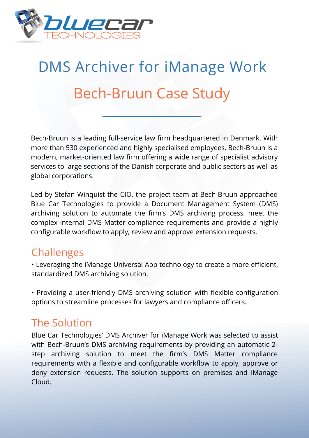

## DMS Archiver for iManage Work Bech-Bruun Case Study

Bech-Bruun is a leading full-service law firm headquartered in Denmark. With more than 530 experienced and highly specialised employees, Bech-Bruun is a modern, market-oriented law firm offering a wide range of specialist advisory services to large sections of the Danish corporate and public sectors as well as global corporations.

Led by Stefan Winquist the CIO, the project team at Bech-Bruun approached Blue Car Technologies to provide a Document Management System (DMS) archiving solution to automate the firm's DMS archiving process, meet the complex internal DMS Matter compliance requirements and provide a highly configurable workflow to apply, review and approve extension requests.

## **Challenges**

• Leveraging the iManage Universal App technology to create a more efficient, standardized DMS archiving solution.

• Providing a user-friendly DMS archiving solution with flexible configuration options to streamline processes for lawyers and compliance officers.

## The Solution

Blue Car Technologies' DMS Archiver for iManage Work was selected to assist with Bech-Bruun's DMS archiving requirements by providing an automatic 2 step archiving solution to meet the firm's DMS Matter compliance requirements with a flexible and configurable workflow to apply, approve or deny extension requests. The solution supports on premises and iManage Cloud.